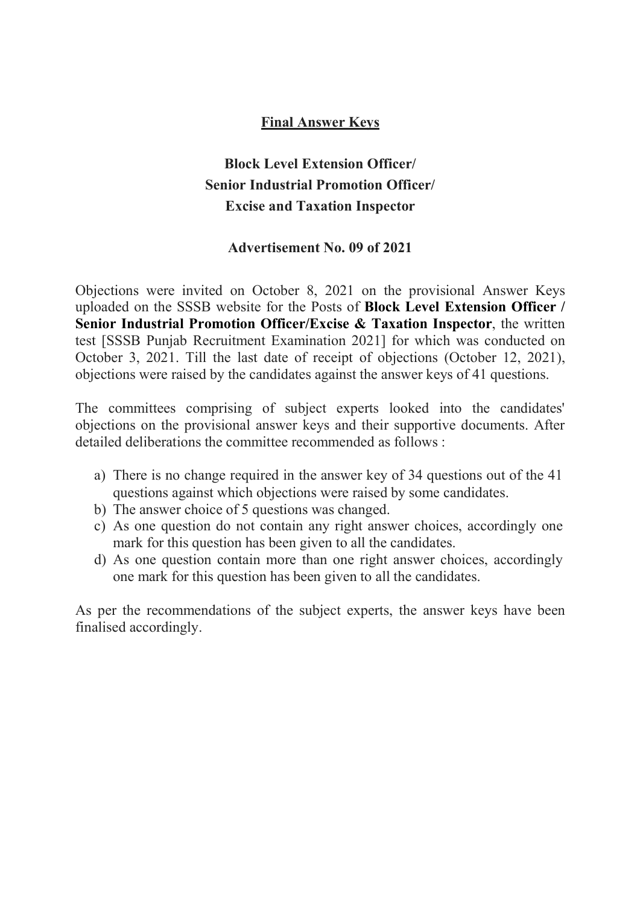#### Final Answer Keys

## Block Level Extension Officer/ Senior Industrial Promotion Officer/ Excise and Taxation Inspector

#### Advertisement No. 09 of 2021

Objections were invited on October 8, 2021 on the provisional Answer Keys uploaded on the SSSB website for the Posts of Block Level Extension Officer / Senior Industrial Promotion Officer/Excise & Taxation Inspector, the written test [SSSB Punjab Recruitment Examination 2021] for which was conducted on October 3, 2021. Till the last date of receipt of objections (October 12, 2021), objections were raised by the candidates against the answer keys of 41 questions.

The committees comprising of subject experts looked into the candidates' objections on the provisional answer keys and their supportive documents. After detailed deliberations the committee recommended as follows :

- a) There is no change required in the answer key of 34 questions out of the 41 questions against which objections were raised by some candidates.
- b) The answer choice of 5 questions was changed.
- c) As one question do not contain any right answer choices, accordingly one mark for this question has been given to all the candidates.
- d) As one question contain more than one right answer choices, accordingly one mark for this question has been given to all the candidates.

As per the recommendations of the subject experts, the answer keys have been finalised accordingly.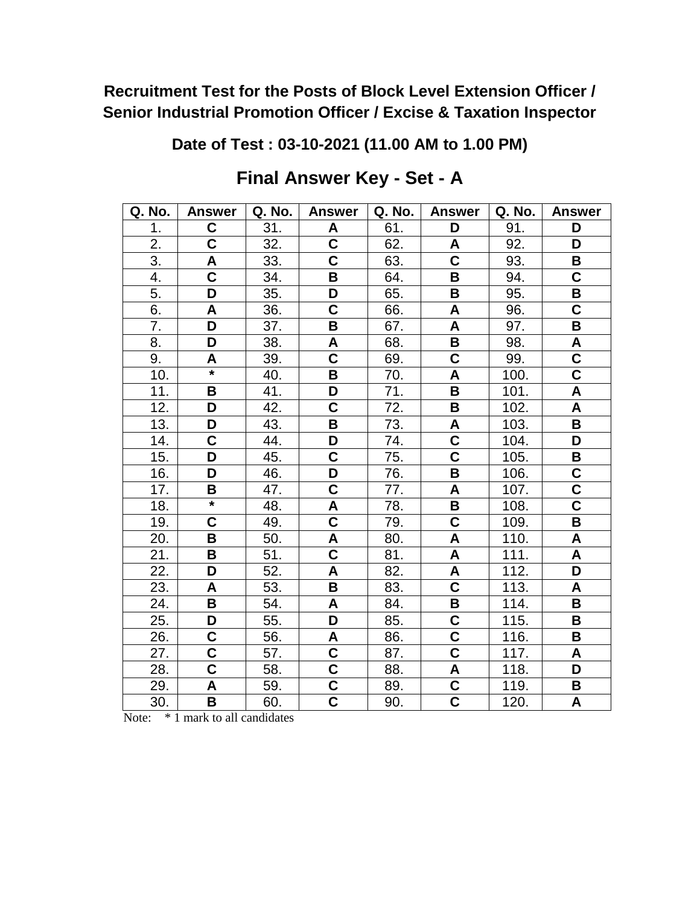**Date of Test : 03-10-2021 (11.00 AM to 1.00 PM)**

| Q. No. | <b>Answer</b>                      | Q. No. | <b>Answer</b>                      | Q. No. | <b>Answer</b>             | Q. No. | <b>Answer</b>             |
|--------|------------------------------------|--------|------------------------------------|--------|---------------------------|--------|---------------------------|
| 1.     | C                                  | 31.    | A                                  | 61.    | D                         | 91.    | D                         |
| 2.     | $\overline{\mathbf{C}}$            | 32.    | C                                  | 62.    | A                         | 92.    | D                         |
| 3.     | A                                  | 33.    | C                                  | 63.    | $\overline{\mathsf{c}}$   | 93.    | B                         |
| 4.     | $\mathbf C$                        | 34.    | B                                  | 64.    | B                         | 94.    | C                         |
| 5.     | D                                  | 35.    | D                                  | 65.    | B                         | 95.    | B                         |
| 6.     | A                                  | 36.    | $\overline{\mathsf{C}}$            | 66.    | A                         | 96.    | $\overline{\textbf{C}}$   |
| 7.     | D                                  | 37.    | B                                  | 67.    | A                         | 97.    | B                         |
| 8.     | D                                  | 38.    | A                                  | 68.    | B                         | 98.    | A                         |
| 9.     | A                                  | 39.    | C                                  | 69.    | $\mathbf C$               | 99.    | C                         |
| 10.    | $\star$                            | 40.    | B                                  | 70.    | A                         | 100.   | C                         |
| 11.    | В                                  | 41.    | D                                  | 71.    | B                         | 101.   | $\boldsymbol{\mathsf{A}}$ |
| 12.    | D                                  | 42.    | C                                  | 72.    | B                         | 102.   | A                         |
| 13.    | D                                  | 43.    | B                                  | 73.    | A                         | 103.   | B                         |
| 14.    | C                                  | 44.    | D                                  | 74.    | $\mathbf C$               | 104.   | D                         |
| 15.    | D                                  | 45.    | C                                  | 75.    | $\overline{\textbf{C}}$   | 105.   | B                         |
| 16.    | D                                  | 46.    | D                                  | 76.    | B                         | 106.   | C                         |
| 17.    | B                                  | 47.    | $\overline{\mathsf{c}}$            | 77.    | $\boldsymbol{\mathsf{A}}$ | 107.   | $\overline{\mathbf{C}}$   |
| 18.    | $\overline{\ast}$                  | 48.    | A                                  | 78.    | B                         | 108.   | $\overline{\textbf{C}}$   |
| 19.    | C                                  | 49.    | $\overline{\mathsf{C}}$            | 79.    | $\overline{\mathsf{c}}$   | 109.   | B                         |
| 20.    | B                                  | 50.    | A                                  | 80.    | A                         | 110.   | A                         |
| 21.    | B                                  | 51.    | $\overline{\mathsf{c}}$            | 81.    | $\boldsymbol{\mathsf{A}}$ | 111.   | $\boldsymbol{\mathsf{A}}$ |
| 22.    | D                                  | 52.    | A                                  | 82.    | A                         | 112.   | D                         |
| 23.    | A                                  | 53.    | B                                  | 83.    | $\overline{\textbf{c}}$   | 113.   | A                         |
| 24.    | B                                  | 54.    | A                                  | 84.    | B                         | 114.   | B                         |
| 25.    | D                                  | 55.    | D                                  | 85.    | $\overline{\textbf{C}}$   | 115.   | B                         |
| 26.    | $\overline{\mathbf{C}}$            | 56.    | A                                  | 86.    | $\overline{\mathsf{c}}$   | 116.   | B                         |
| 27.    | $\overline{\mathbf{C}}$            | 57.    | $\overline{\mathbf{C}}$            | 87.    | $\overline{\mathsf{c}}$   | 117.   | A                         |
| 28.    | $\overline{\overline{\mathsf{c}}}$ | 58.    | $\overline{\overline{\mathbf{C}}}$ | 88.    | $\boldsymbol{\mathsf{A}}$ | 118.   | D                         |
| 29.    | A                                  | 59.    | $\overline{\mathbf{C}}$            | 89.    | $\overline{\textbf{c}}$   | 119.   | B                         |
| 30.    | В                                  | 60.    | $\overline{\mathsf{c}}$            | 90.    | $\overline{\mathsf{c}}$   | 120.   | A                         |

# **Final Answer Key - Set - A**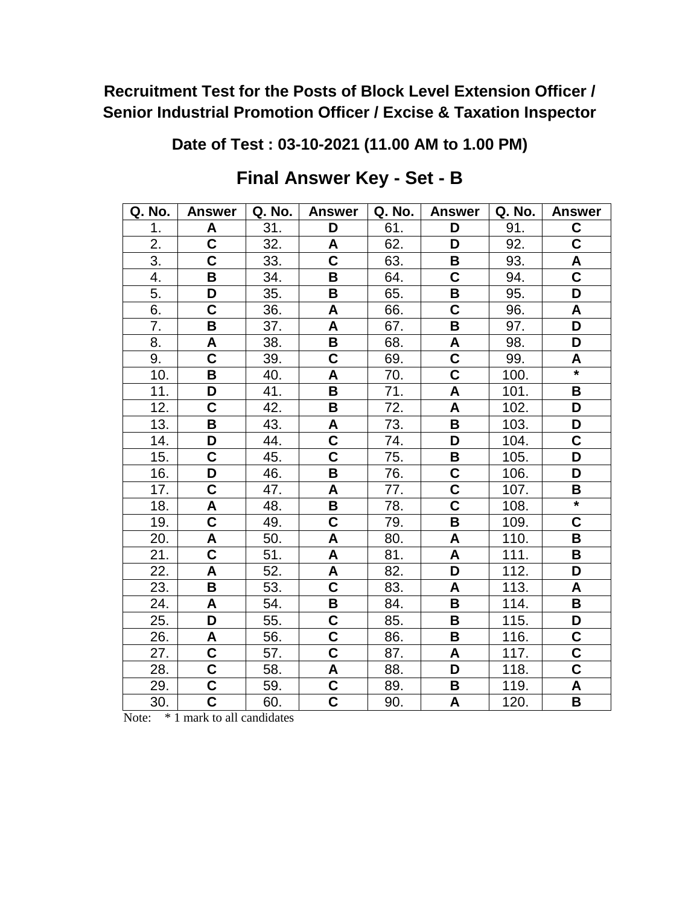**Date of Test : 03-10-2021 (11.00 AM to 1.00 PM)**

| Q. No.            | <b>Answer</b>           | Q. No. | <b>Answer</b>           | Q. No. | <b>Answer</b>           | Q. No. | <b>Answer</b>             |
|-------------------|-------------------------|--------|-------------------------|--------|-------------------------|--------|---------------------------|
| 1.                | A                       | 31.    | D                       | 61.    | D                       | 91.    | C                         |
| 2.                | $\overline{\mathbf{C}}$ | 32.    | A                       | 62.    | D                       | 92.    | $\overline{\textbf{c}}$   |
| 3.                | $\overline{\mathbf{c}}$ | 33.    | C                       | 63.    | В                       | 93.    | $\boldsymbol{\mathsf{A}}$ |
| 4.                | B                       | 34.    | B                       | 64.    | $\mathbf C$             | 94.    | $\overline{\mathsf{C}}$   |
| 5.                | D                       | 35.    | B                       | 65.    | B                       | 95.    | D                         |
| 6.                | $\overline{\mathsf{C}}$ | 36.    | A                       | 66.    | $\overline{\mathsf{C}}$ | 96.    | A                         |
| 7.                | B                       | 37.    | A                       | 67.    | $\overline{\mathsf{B}}$ | 97.    | $\overline{\mathsf{D}}$   |
| 8.                | A                       | 38.    | $\overline{\mathbf{B}}$ | 68.    | A                       | 98.    | D                         |
| 9.                | C                       | 39.    | C                       | 69.    | $\overline{\mathsf{C}}$ | 99.    | A                         |
| $\overline{10}$ . | B                       | 40.    | A                       | 70.    | $\overline{\textbf{C}}$ | 100.   | $\star$                   |
| 11.               | D                       | 41.    | B                       | 71.    | A                       | 101.   | B                         |
| 12.               | C                       | 42.    | B                       | 72.    | A                       | 102.   | D                         |
| 13.               | B                       | 43.    | A                       | 73.    | B                       | 103.   | D                         |
| 14.               | D                       | 44.    | C                       | 74.    | D                       | 104.   | C                         |
| 15.               | C                       | 45.    | C                       | 75.    | B                       | 105.   | D                         |
| 16.               | D                       | 46.    | B                       | 76.    | C                       | 106.   | D                         |
| 17.               | C                       | 47.    | A                       | 77.    | $\overline{\mathsf{c}}$ | 107.   | B                         |
| 18.               | A                       | 48.    | B                       | 78.    | $\overline{\textbf{C}}$ | 108.   | $\ast$                    |
| 19.               | $\overline{\mathsf{C}}$ | 49.    | C                       | 79.    | B                       | 109.   | C                         |
| 20.               | A                       | 50.    | A                       | 80.    | A                       | 110.   | B                         |
| 21.               | $\overline{\mathbf{c}}$ | 51.    | A                       | 81.    | A                       | 111.   | B                         |
| 22.               | A                       | 52.    | A                       | 82.    | D                       | 112.   | D                         |
| 23.               | B                       | 53.    | C                       | 83.    | A                       | 113.   | A                         |
| 24.               | A                       | 54.    | B                       | 84.    | $\, {\bf B}$            | 114.   | B                         |
| 25.               | $\overline{\mathsf{D}}$ | 55.    | $\overline{\mathsf{C}}$ | 85.    | $\overline{\mathbf{B}}$ | 115.   | D                         |
| 26.               | A                       | 56.    | $\overline{\mathbf{C}}$ | 86.    | B                       | 116.   | $\overline{\mathbf{C}}$   |
| 27.               | $\overline{\mathbf{C}}$ | 57.    | $\overline{\mathsf{C}}$ | 87.    | A                       | 117.   | $\overline{\mathbf{C}}$   |
| 28.               | $\overline{\mathsf{c}}$ | 58.    | A                       | 88.    | $\overline{\mathsf{D}}$ | 118.   | $\overline{\mathbf{c}}$   |
| 29.               | $\overline{\textbf{c}}$ | 59.    | $\overline{\mathsf{c}}$ | 89.    | $\, {\bf B}$            | 119.   | A                         |
| 30.               | $\overline{\mathbf{C}}$ | 60.    | $\overline{\mathsf{c}}$ | 90.    | A                       | 120.   | B                         |

# **Final Answer Key - Set - B**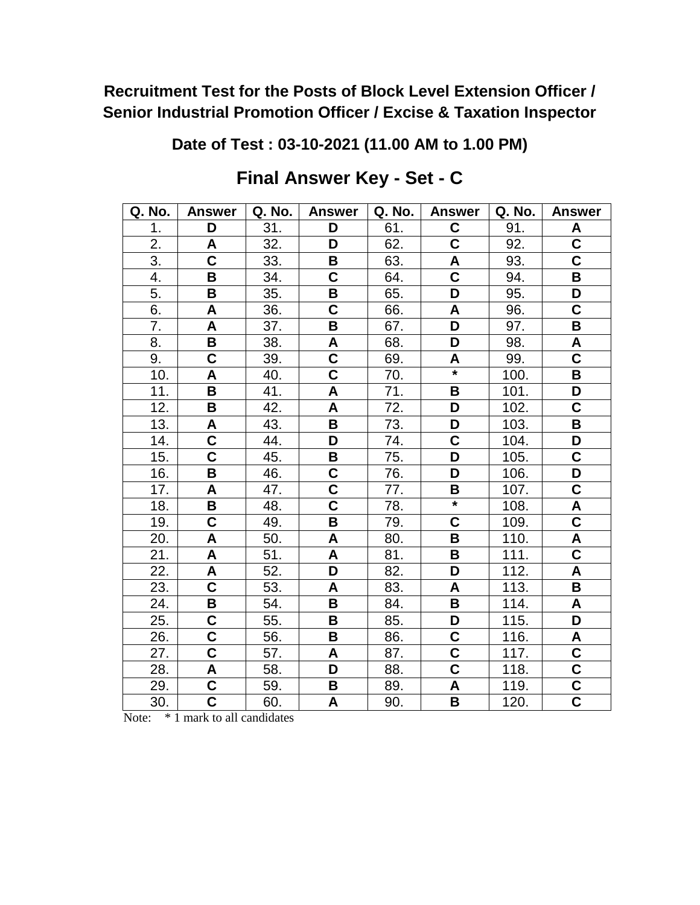**Date of Test : 03-10-2021 (11.00 AM to 1.00 PM)**

| Q. No. | <b>Answer</b>           | Q. No. | <b>Answer</b>           | Q. No. | <b>Answer</b>           | Q. No. | <b>Answer</b>             |
|--------|-------------------------|--------|-------------------------|--------|-------------------------|--------|---------------------------|
| 1.     | D                       | 31.    | D                       | 61.    | C                       | 91.    | A                         |
| 2.     | A                       | 32.    | D                       | 62.    | $\overline{\textbf{C}}$ | 92.    | $\overline{\mathbf{C}}$   |
| 3.     | $\overline{\mathbf{C}}$ | 33.    | В                       | 63.    | A                       | 93.    | $\overline{\mathbf{C}}$   |
| 4.     | B                       | 34.    | C                       | 64.    | $\overline{\mathsf{C}}$ | 94.    | B                         |
| 5.     | B                       | 35.    | B                       | 65.    | D                       | 95.    | D                         |
| 6.     | A                       | 36.    | $\overline{\mathbf{C}}$ | 66.    | A                       | 96.    | $\overline{\mathbf{C}}$   |
| 7.     | A                       | 37.    | B                       | 67.    | $\overline{\mathsf{D}}$ | 97.    | $\overline{\mathsf{B}}$   |
| 8.     | $\overline{\mathbf{B}}$ | 38.    | A                       | 68.    | $\overline{\mathsf{D}}$ | 98.    | A                         |
| 9.     | C                       | 39.    | $\mathbf C$             | 69.    | A                       | 99.    | $\overline{\mathbf{C}}$   |
| 10.    | A                       | 40.    | C                       | 70.    | $\star$                 | 100.   | B                         |
| 11.    | B                       | 41.    | A                       | 71.    | B                       | 101.   | D                         |
| 12.    | B                       | 42.    | A                       | 72.    | D                       | 102.   | C                         |
| 13.    | A                       | 43.    | B                       | 73.    | D                       | 103.   | B                         |
| 14.    | C                       | 44.    | D                       | 74.    | $\mathbf C$             | 104.   | D                         |
| 15.    | $\overline{\mathbf{C}}$ | 45.    | B                       | 75.    | D                       | 105.   | $\mathbf C$               |
| 16.    | B                       | 46.    | C                       | 76.    | D                       | 106.   | D                         |
| 17.    | A                       | 47.    | $\overline{\mathbf{c}}$ | 77.    | B                       | 107.   | $\overline{\mathbf{C}}$   |
| 18.    | B                       | 48.    | C                       | 78.    | $\star$                 | 108.   | A                         |
| 19.    | $\overline{\mathbf{C}}$ | 49.    | B                       | 79.    | $\overline{\mathsf{C}}$ | 109.   | $\overline{\mathbf{c}}$   |
| 20.    | A                       | 50.    | A                       | 80.    | B                       | 110.   | A                         |
| 21.    | A                       | 51.    | A                       | 81.    | $\overline{\mathbf{B}}$ | 111.   | $\overline{\mathbf{C}}$   |
| 22.    | A                       | 52.    | D                       | 82.    | D                       | 112.   | $\pmb{\mathsf{A}}$        |
| 23.    | $\overline{\mathbf{C}}$ | 53.    | A                       | 83.    | A                       | 113.   | B                         |
| 24.    | В                       | 54.    | B                       | 84.    | B                       | 114.   | $\boldsymbol{\mathsf{A}}$ |
| 25.    | $\overline{\mathsf{C}}$ | 55.    | B                       | 85.    | $\overline{\mathsf{D}}$ | 115.   | $\overline{\mathsf{D}}$   |
| 26.    | $\overline{\mathbf{C}}$ | 56.    | B                       | 86.    | $\overline{\mathsf{C}}$ | 116.   | A                         |
| 27.    | $\overline{\mathbf{C}}$ | 57.    | A                       | 87.    | $\overline{\mathbf{C}}$ | 117.   | $\overline{\mathbf{C}}$   |
| 28.    | A                       | 58.    | D                       | 88.    | $\overline{\mathbf{c}}$ | 118.   | $\overline{\textbf{c}}$   |
| 29.    | $\overline{\mathbf{C}}$ | 59.    | B                       | 89.    | A                       | 119.   | $\overline{\mathbf{C}}$   |
| 30.    | $\overline{\mathsf{c}}$ | 60.    | A                       | 90.    | B                       | 120.   | $\overline{\mathbf{c}}$   |

# **Final Answer Key - Set - C**